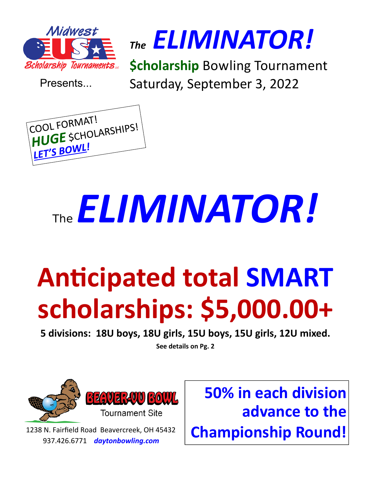

Presents...

*The ELIMINATOR!* 

**\$cholarship** Bowling Tournament Saturday, September 3, 2022



# The *ELIMINATOR!*

# **Anticipated total SMART scholarships: \$5,000.00+**

**5 divisions: 18U boys, 18U girls, 15U boys, 15U girls, 12U mixed.** 

**See details on Pg. 2** 



1238 N. Fairfield Road Beavercreek, OH 45432 937.426.6771 *daytonbowling.com* 

**50% in each division advance to the Championship Round!**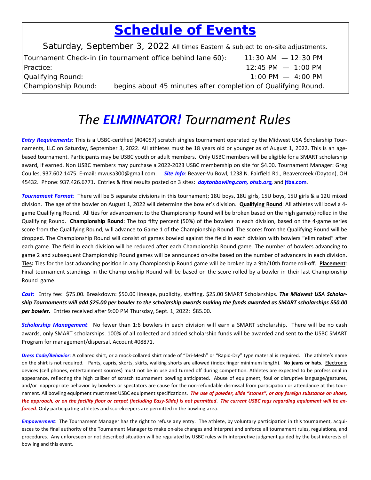#### *Schedule of Events*

Saturday, September 3, 2022 All times Eastern & subject to on-site adjustments. Tournament Check-in (in tournament office behind lane 60): 11:30 AM — 12:30 PM Practice: 12:45 PM — 1:00 PM Qualifying Round: 1:00 PM — 4:00 PM Championship Round: begins about 45 minutes after completion of Qualifying Round.

#### *The ELIMINATOR! Tournament Rules*

*Entry Requirements*: This is a USBC-certified (#04057) scratch singles tournament operated by the Midwest USA \$cholarship Tournaments, LLC on Saturday, September 3, 2022. All athletes must be 18 years old or younger as of August 1, 2022. This is an age‐ based tournament. Participants may be USBC youth or adult members. Only USBC members will be eligible for a SMART scholarship award, if earned. Non USBC members may purchase a 2022‐2023 USBC membership on site for \$4.00. Tournament Manager: Greg Coulles, 937.602.1475. E‐mail: mwusa300@gmail.com. *Site Info*: Beaver‐Vu Bowl, 1238 N. Fairfield Rd., Beavercreek (Dayton), OH 45432. Phone: 937.426.6771. Entries & final results posted on 3 sites: *daytonbowling.com, ohsb.org,* and **jtba.com**.

*Tournament Format*: There will be 5 separate divisions in this tournament; 18U boys, 18U girls, 15U boys, 15U girls & a 12U mixed division. The age of the bowler on August 1, 2022 will determine the bowler's division. **Qualifying Round**: All athletes will bowl a 4‐ game Qualifying Round. All ties for advancement to the Championship Round will be broken based on the high game(s) rolled in the Qualifying Round. Championship Round: The top fifty percent (50%) of the bowlers in each division, based on the 4-game series score from the Qualifying Round, will advance to Game 1 of the Championship Round. The scores from the Qualifying Round will be dropped. The Championship Round will consist of games bowled against the field in each division with bowlers "eliminated" after each game. The field in each division will be reduced after each Championship Round game. The number of bowlers advancing to game 2 and subsequent Championship Round games will be announced on-site based on the number of advancers in each division. Ties: Ties for the last advancing position in any Championship Round game will be broken by a 9th/10th frame roll-off. Placement: Final tournament standings in the Championship Round will be based on the score rolled by a bowler in their last Championship Round game.

*Cost:* Entry fee: \$75.00. Breakdown: \$50.00 lineage, publicity, staffing. \$25.00 SMART Scholarships. *The Midwest USA Scholarship Tournaments will add \$25.00 per bowler to the scholarship awards making the funds awarded as SMART scholarships \$50.00*  per bowler. Entries received after 9:00 PM Thursday, Sept. 1, 2022: \$85.00.

*Scholarship Management*: No fewer than 1:6 bowlers in each division will earn a SMART scholarship. There will be no cash awards, only SMART scholarships. 100% of all collected and added scholarship funds will be awarded and sent to the USBC SMART Program for management/dispersal. Account #08871.

Dress Code/Behavior: A collared shirt, or a mock-collared shirt made of "Dri-Mesh" or "Rapid-Dry" type material is required. The athlete's name on the shirt is not required. Pants, capris, skorts, skirts, walking shorts are allowed (index finger minimum length). **No jeans or hats**. Electronic devices (cell phones, entertainment sources) must not be in use and turned off during competition. Athletes are expected to be professional in appearance, reflecting the high caliber of scratch tournament bowling anticipated. Abuse of equipment, foul or disruptive language/gestures, and/or inappropriate behavior by bowlers or spectators are cause for the non-refundable dismissal from participation or attendance at this tournament. All bowling equipment must meet USBC equipment specifications. *The use of powder, slide "stones", or any foreign substance on shoes,* the approach, or on the facility floor or carpet (including Easy-Slide) is not permitted. The current USBC regs regarding equipment will be en*forced*. Only participating athletes and scorekeepers are permitted in the bowling area.

**Empowerment**: The Tournament Manager has the right to refuse any entry. The athlete, by voluntary participation in this tournament, acquiesces to the final authority of the Tournament Manager to make on-site changes and interpret and enforce all tournament rules, regulations, and procedures. Any unforeseen or not described situation will be regulated by USBC rules with interpretive judgment guided by the best interests of bowling and this event.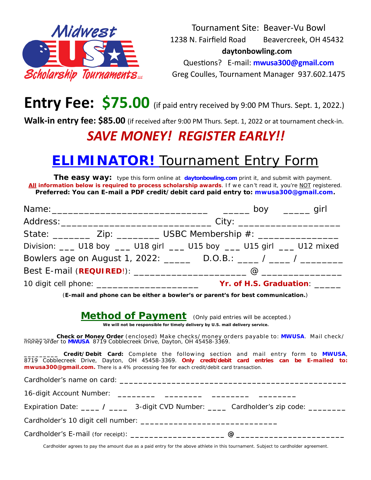

Tournament Site: Beaver‐Vu Bowl 1238 N. Fairfield Road Beavercreek, OH 45432  **daytonbowling.com**  Questions? E-mail: **mwusa300@gmail.com** Greg Coulles, Tournament Manager 937.602.1475

#### **Entry Fee: \$75.00** (if paid entry received by 9:00 PM Thurs. Sept. 1, 2022.)

Walk-in entry fee: \$85.00 (if received after 9:00 PM Thurs. Sept. 1, 2022 or at tournament check-in.

#### *SAVE MONEY! REGISTER EARLY!!*

#### *ELIMINATOR!* Tournament Entry Form

**The easy way:** type this form online at *daytonbowling.com* print it, and submit with payment. All information below is required to process scholarship awards. If we can't read it, you're NOT registered. **Preferred: You can E-mail a PDF credit/debit card paid entry to: mwusa300@gmail.com.** 

|                                                                                                                                                                                                                                                                                                                                                                                                                                                                                                                                                                                                                      | State: _______________ Zip: _______________ USBC Membership #: _________________     |
|----------------------------------------------------------------------------------------------------------------------------------------------------------------------------------------------------------------------------------------------------------------------------------------------------------------------------------------------------------------------------------------------------------------------------------------------------------------------------------------------------------------------------------------------------------------------------------------------------------------------|--------------------------------------------------------------------------------------|
|                                                                                                                                                                                                                                                                                                                                                                                                                                                                                                                                                                                                                      | Division: ___ U18 boy ___ U18 girl ___ U15 boy ___ U15 girl ___ U12 mixed            |
|                                                                                                                                                                                                                                                                                                                                                                                                                                                                                                                                                                                                                      | Bowlers age on August 1, 2022: _______ D.O.B.: _____ / _____ / _________________     |
|                                                                                                                                                                                                                                                                                                                                                                                                                                                                                                                                                                                                                      |                                                                                      |
|                                                                                                                                                                                                                                                                                                                                                                                                                                                                                                                                                                                                                      |                                                                                      |
| (E-mail and phone can be either a bowler's or parent's for best communication.)                                                                                                                                                                                                                                                                                                                                                                                                                                                                                                                                      |                                                                                      |
| <b>Method of Payment</b> (Only paid entries will be accepted.)<br>We will not be responsible for timely delivery by U.S. mail delivery service.<br>Check or Money Order (enclosed) Make checks/money orders payable to: MWUSA. Mail check/<br>money order to MWUSA 8719 Cobblecreek Drive, Dayton, OH 45458-3369.<br>_ <b>____ Credit/Debit Card</b> : Complete the following section and mail entry form to MWUSA,<br>8719 Cobblecreek Drive, Dayton, OH 45458-3369. Only credit/debit card entries can be E-mailed to:<br>mwusa300@gmail.com. There is a 4% processing fee for each credit/debit card transaction. |                                                                                      |
|                                                                                                                                                                                                                                                                                                                                                                                                                                                                                                                                                                                                                      |                                                                                      |
|                                                                                                                                                                                                                                                                                                                                                                                                                                                                                                                                                                                                                      | Expiration Date: ____ / ____ 3-digit CVD Number: ____ Cardholder's zip code: _______ |
|                                                                                                                                                                                                                                                                                                                                                                                                                                                                                                                                                                                                                      |                                                                                      |

Cardholder agrees to pay the amount due as a paid entry for the above athlete in this tournament. Subject to cardholder agreement.